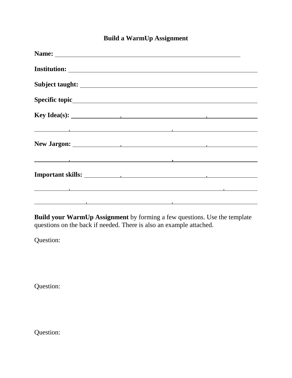## **Build a WarmUp Assignment**

| Specific topic specific topic                                                                                                                                                                                                    |  |  |
|----------------------------------------------------------------------------------------------------------------------------------------------------------------------------------------------------------------------------------|--|--|
| Key Idea(s): $\qquad \qquad$                                                                                                                                                                                                     |  |  |
| <u>в последници по подрачи по подрачи по подрачи по подрачи по подрачи по подрачи по подрачи по подрачи по подрач</u>                                                                                                            |  |  |
|                                                                                                                                                                                                                                  |  |  |
| о произведения в произведении с произведения в произведении с произведения с произведения с произведения с про<br>В применении с произведения с произведения с произведения с произведения с произведения с произведения с приме |  |  |
|                                                                                                                                                                                                                                  |  |  |
| образование по продажбата в собстании в собстании производства в собстании производства в собстании при собста<br>В собстании производства в собстании производства в собстании производства в собстании производства в собстани |  |  |
| образование по продажение при подводительно по собстание по продажение продажение продажение продажение при пр<br>В собстании продажения продажения продажения продажения продажения продажения продажения продажения продажения |  |  |

**Build your WarmUp Assignment** by forming a few questions. Use the template questions on the back if needed. There is also an example attached.

Question:

Question:

Question: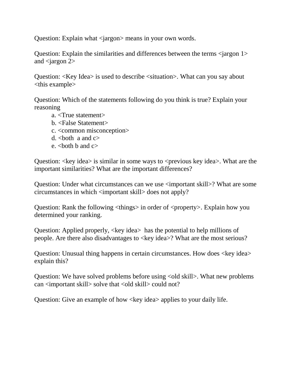Question: Explain what <jargon> means in your own words.

Question: Explain the similarities and differences between the terms  $\langle$  argon 1> and  $\langle$  angon 2 $>$ 

Question: <Key Idea> is used to describe <situation>. What can you say about <this example>

Question: Which of the statements following do you think is true? Explain your reasoning

- a. <True statement>
- b. <False Statement>
- c. <common misconception>
- d.  $\text{both}$  a and  $c$
- e.  $\lt$ both b and  $c$

Question:  $\langle \text{key idea} \rangle$  is similar in some ways to  $\langle \text{previous key idea} \rangle$ . What are the important similarities? What are the important differences?

Question: Under what circumstances can we use  $\langle$  important skill>? What are some circumstances in which <important skill> does not apply?

Question: Rank the following  $\langle$ things $\rangle$  in order of  $\langle$ property $\rangle$ . Explain how you determined your ranking.

Question: Applied properly, <key idea> has the potential to help millions of people. Are there also disadvantages to <key idea>? What are the most serious?

Question: Unusual thing happens in certain circumstances. How does <key idea> explain this?

Question: We have solved problems before using  $\langle$ old skill $\rangle$ . What new problems can <important skill> solve that <old skill> could not?

Question: Give an example of how <key idea > applies to your daily life.